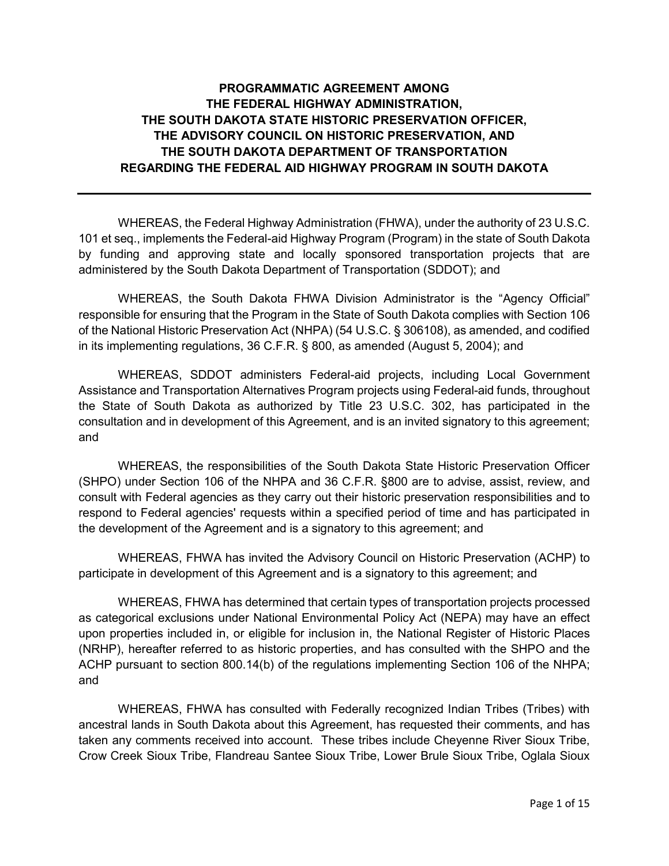# **PROGRAMMATIC AGREEMENT AMONG THE FEDERAL HIGHWAY ADMINISTRATION, THE SOUTH DAKOTA STATE HISTORIC PRESERVATION OFFICER, THE ADVISORY COUNCIL ON HISTORIC PRESERVATION, AND THE SOUTH DAKOTA DEPARTMENT OF TRANSPORTATION REGARDING THE FEDERAL AID HIGHWAY PROGRAM IN SOUTH DAKOTA**

WHEREAS, the Federal Highway Administration (FHWA), under the authority of 23 U.S.C. 101 et seq., implements the Federal-aid Highway Program (Program) in the state of South Dakota by funding and approving state and locally sponsored transportation projects that are administered by the South Dakota Department of Transportation (SDDOT); and

WHEREAS, the South Dakota FHWA Division Administrator is the "Agency Official" responsible for ensuring that the Program in the State of South Dakota complies with Section 106 of the National Historic Preservation Act (NHPA) (54 U.S.C. § 306108), as amended, and codified in its implementing regulations, 36 C.F.R. § 800, as amended (August 5, 2004); and

WHEREAS, SDDOT administers Federal-aid projects, including Local Government Assistance and Transportation Alternatives Program projects using Federal-aid funds, throughout the State of South Dakota as authorized by Title 23 U.S.C. 302, has participated in the consultation and in development of this Agreement, and is an invited signatory to this agreement; and

WHEREAS, the responsibilities of the South Dakota State Historic Preservation Officer (SHPO) under Section 106 of the NHPA and 36 C.F.R. §800 are to advise, assist, review, and consult with Federal agencies as they carry out their historic preservation responsibilities and to respond to Federal agencies' requests within a specified period of time and has participated in the development of the Agreement and is a signatory to this agreement; and

WHEREAS, FHWA has invited the Advisory Council on Historic Preservation (ACHP) to participate in development of this Agreement and is a signatory to this agreement; and

WHEREAS, FHWA has determined that certain types of transportation projects processed as categorical exclusions under National Environmental Policy Act (NEPA) may have an effect upon properties included in, or eligible for inclusion in, the National Register of Historic Places (NRHP), hereafter referred to as historic properties, and has consulted with the SHPO and the ACHP pursuant to section 800.14(b) of the regulations implementing Section 106 of the NHPA; and

WHEREAS, FHWA has consulted with Federally recognized Indian Tribes (Tribes) with ancestral lands in South Dakota about this Agreement, has requested their comments, and has taken any comments received into account. These tribes include Cheyenne River Sioux Tribe, Crow Creek Sioux Tribe, Flandreau Santee Sioux Tribe, Lower Brule Sioux Tribe, Oglala Sioux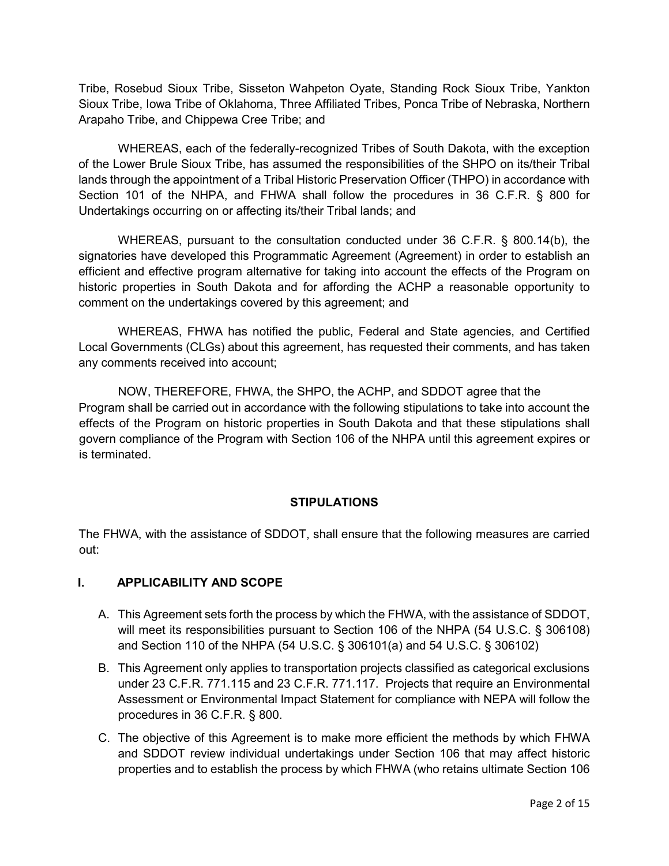Tribe, Rosebud Sioux Tribe, Sisseton Wahpeton Oyate, Standing Rock Sioux Tribe, Yankton Sioux Tribe, Iowa Tribe of Oklahoma, Three Affiliated Tribes, Ponca Tribe of Nebraska, Northern Arapaho Tribe, and Chippewa Cree Tribe; and

WHEREAS, each of the federally-recognized Tribes of South Dakota, with the exception of the Lower Brule Sioux Tribe, has assumed the responsibilities of the SHPO on its/their Tribal lands through the appointment of a Tribal Historic Preservation Officer (THPO) in accordance with Section 101 of the NHPA, and FHWA shall follow the procedures in 36 C.F.R. § 800 for Undertakings occurring on or affecting its/their Tribal lands; and

WHEREAS, pursuant to the consultation conducted under 36 C.F.R. § 800.14(b), the signatories have developed this Programmatic Agreement (Agreement) in order to establish an efficient and effective program alternative for taking into account the effects of the Program on historic properties in South Dakota and for affording the ACHP a reasonable opportunity to comment on the undertakings covered by this agreement; and

WHEREAS, FHWA has notified the public, Federal and State agencies, and Certified Local Governments (CLGs) about this agreement, has requested their comments, and has taken any comments received into account;

NOW, THEREFORE, FHWA, the SHPO, the ACHP, and SDDOT agree that the Program shall be carried out in accordance with the following stipulations to take into account the effects of the Program on historic properties in South Dakota and that these stipulations shall govern compliance of the Program with Section 106 of the NHPA until this agreement expires or is terminated.

## **STIPULATIONS**

The FHWA, with the assistance of SDDOT, shall ensure that the following measures are carried out:

## **I. APPLICABILITY AND SCOPE**

- A. This Agreement sets forth the process by which the FHWA, with the assistance of SDDOT, will meet its responsibilities pursuant to Section 106 of the NHPA (54 U.S.C. § 306108) and Section 110 of the NHPA (54 U.S.C. § 306101(a) and 54 U.S.C. § 306102)
- B. This Agreement only applies to transportation projects classified as categorical exclusions under 23 C.F.R. 771.115 and 23 C.F.R. 771.117. Projects that require an Environmental Assessment or Environmental Impact Statement for compliance with NEPA will follow the procedures in 36 C.F.R. § 800.
- C. The objective of this Agreement is to make more efficient the methods by which FHWA and SDDOT review individual undertakings under Section 106 that may affect historic properties and to establish the process by which FHWA (who retains ultimate Section 106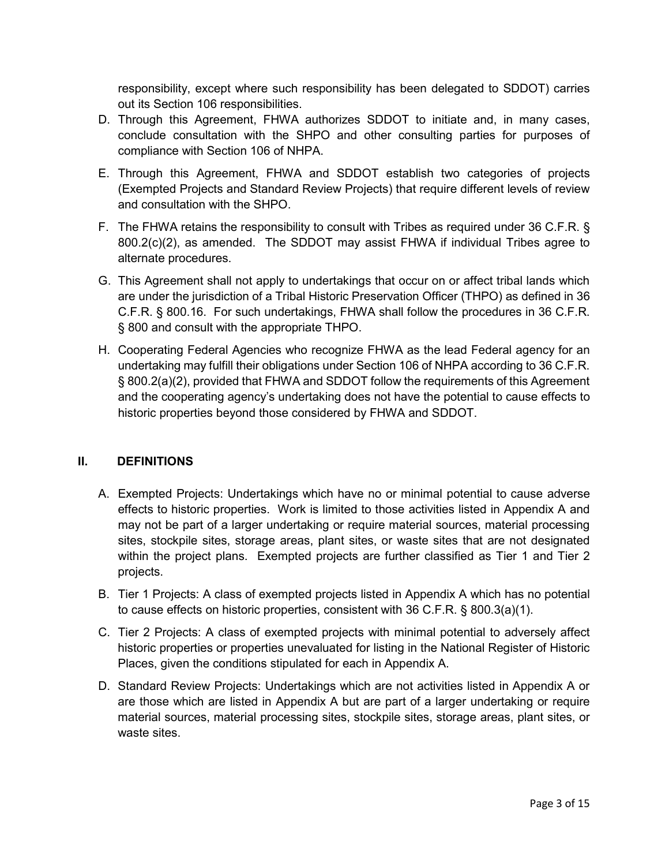responsibility, except where such responsibility has been delegated to SDDOT) carries out its Section 106 responsibilities.

- D. Through this Agreement, FHWA authorizes SDDOT to initiate and, in many cases, conclude consultation with the SHPO and other consulting parties for purposes of compliance with Section 106 of NHPA.
- E. Through this Agreement, FHWA and SDDOT establish two categories of projects (Exempted Projects and Standard Review Projects) that require different levels of review and consultation with the SHPO.
- F. The FHWA retains the responsibility to consult with Tribes as required under 36 C.F.R. § 800.2(c)(2), as amended. The SDDOT may assist FHWA if individual Tribes agree to alternate procedures.
- G. This Agreement shall not apply to undertakings that occur on or affect tribal lands which are under the jurisdiction of a Tribal Historic Preservation Officer (THPO) as defined in 36 C.F.R. § 800.16. For such undertakings, FHWA shall follow the procedures in 36 C.F.R. § 800 and consult with the appropriate THPO.
- H. Cooperating Federal Agencies who recognize FHWA as the lead Federal agency for an undertaking may fulfill their obligations under Section 106 of NHPA according to 36 C.F.R. § 800.2(a)(2), provided that FHWA and SDDOT follow the requirements of this Agreement and the cooperating agency's undertaking does not have the potential to cause effects to historic properties beyond those considered by FHWA and SDDOT.

## **II. DEFINITIONS**

- A. Exempted Projects: Undertakings which have no or minimal potential to cause adverse effects to historic properties. Work is limited to those activities listed in Appendix A and may not be part of a larger undertaking or require material sources, material processing sites, stockpile sites, storage areas, plant sites, or waste sites that are not designated within the project plans. Exempted projects are further classified as Tier 1 and Tier 2 projects.
- B. Tier 1 Projects: A class of exempted projects listed in Appendix A which has no potential to cause effects on historic properties, consistent with 36 C.F.R. § 800.3(a)(1).
- C. Tier 2 Projects: A class of exempted projects with minimal potential to adversely affect historic properties or properties unevaluated for listing in the National Register of Historic Places, given the conditions stipulated for each in Appendix A.
- D. Standard Review Projects: Undertakings which are not activities listed in Appendix A or are those which are listed in Appendix A but are part of a larger undertaking or require material sources, material processing sites, stockpile sites, storage areas, plant sites, or waste sites.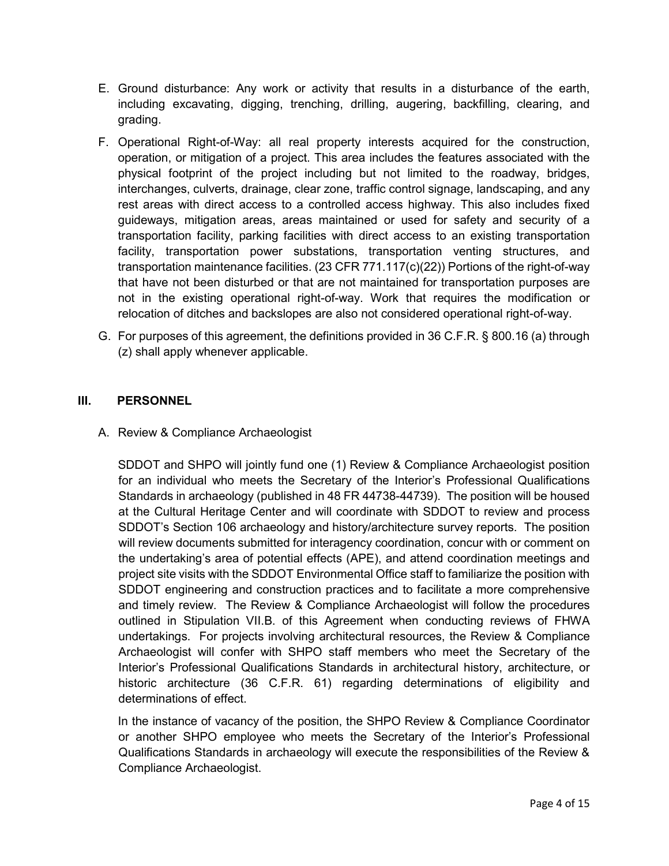- E. Ground disturbance: Any work or activity that results in a disturbance of the earth, including excavating, digging, trenching, drilling, augering, backfilling, clearing, and grading.
- F. Operational Right-of-Way: all real property interests acquired for the construction, operation, or mitigation of a project. This area includes the features associated with the physical footprint of the project including but not limited to the roadway, bridges, interchanges, culverts, drainage, clear zone, traffic control signage, landscaping, and any rest areas with direct access to a controlled access highway. This also includes fixed guideways, mitigation areas, areas maintained or used for safety and security of a transportation facility, parking facilities with direct access to an existing transportation facility, transportation power substations, transportation venting structures, and transportation maintenance facilities. (23 CFR 771.117(c)(22)) Portions of the right-of-way that have not been disturbed or that are not maintained for transportation purposes are not in the existing operational right-of-way. Work that requires the modification or relocation of ditches and backslopes are also not considered operational right-of-way.
- G. For purposes of this agreement, the definitions provided in 36 C.F.R. § 800.16 (a) through (z) shall apply whenever applicable.

## **III. PERSONNEL**

## A. Review & Compliance Archaeologist

SDDOT and SHPO will jointly fund one (1) Review & Compliance Archaeologist position for an individual who meets the Secretary of the Interior's Professional Qualifications Standards in archaeology (published in 48 FR 44738-44739). The position will be housed at the Cultural Heritage Center and will coordinate with SDDOT to review and process SDDOT's Section 106 archaeology and history/architecture survey reports. The position will review documents submitted for interagency coordination, concur with or comment on the undertaking's area of potential effects (APE), and attend coordination meetings and project site visits with the SDDOT Environmental Office staff to familiarize the position with SDDOT engineering and construction practices and to facilitate a more comprehensive and timely review. The Review & Compliance Archaeologist will follow the procedures outlined in Stipulation VII.B. of this Agreement when conducting reviews of FHWA undertakings. For projects involving architectural resources, the Review & Compliance Archaeologist will confer with SHPO staff members who meet the Secretary of the Interior's Professional Qualifications Standards in architectural history, architecture, or historic architecture (36 C.F.R. 61) regarding determinations of eligibility and determinations of effect.

In the instance of vacancy of the position, the SHPO Review & Compliance Coordinator or another SHPO employee who meets the Secretary of the Interior's Professional Qualifications Standards in archaeology will execute the responsibilities of the Review & Compliance Archaeologist.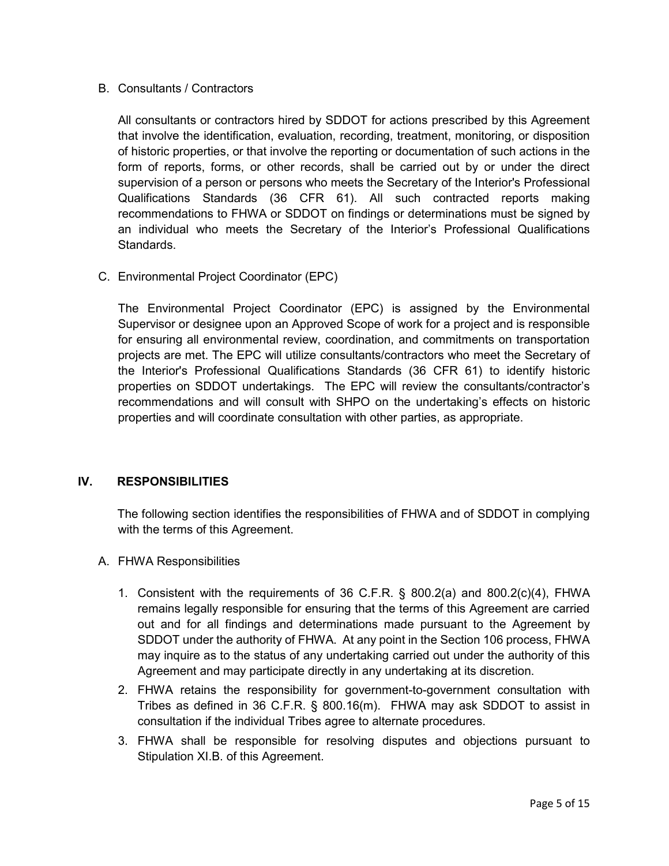## B. Consultants / Contractors

All consultants or contractors hired by SDDOT for actions prescribed by this Agreement that involve the identification, evaluation, recording, treatment, monitoring, or disposition of historic properties, or that involve the reporting or documentation of such actions in the form of reports, forms, or other records, shall be carried out by or under the direct supervision of a person or persons who meets the Secretary of the Interior's Professional Qualifications Standards (36 CFR 61). All such contracted reports making recommendations to FHWA or SDDOT on findings or determinations must be signed by an individual who meets the Secretary of the Interior's Professional Qualifications Standards.

C. Environmental Project Coordinator (EPC)

The Environmental Project Coordinator (EPC) is assigned by the Environmental Supervisor or designee upon an Approved Scope of work for a project and is responsible for ensuring all environmental review, coordination, and commitments on transportation projects are met. The EPC will utilize consultants/contractors who meet the Secretary of the Interior's Professional Qualifications Standards (36 CFR 61) to identify historic properties on SDDOT undertakings. The EPC will review the consultants/contractor's recommendations and will consult with SHPO on the undertaking's effects on historic properties and will coordinate consultation with other parties, as appropriate.

## **IV. RESPONSIBILITIES**

The following section identifies the responsibilities of FHWA and of SDDOT in complying with the terms of this Agreement.

- A. FHWA Responsibilities
	- 1. Consistent with the requirements of 36 C.F.R. § 800.2(a) and 800.2(c)(4), FHWA remains legally responsible for ensuring that the terms of this Agreement are carried out and for all findings and determinations made pursuant to the Agreement by SDDOT under the authority of FHWA. At any point in the Section 106 process, FHWA may inquire as to the status of any undertaking carried out under the authority of this Agreement and may participate directly in any undertaking at its discretion.
	- 2. FHWA retains the responsibility for government-to-government consultation with Tribes as defined in 36 C.F.R. § 800.16(m). FHWA may ask SDDOT to assist in consultation if the individual Tribes agree to alternate procedures.
	- 3. FHWA shall be responsible for resolving disputes and objections pursuant to Stipulation XI.B. of this Agreement.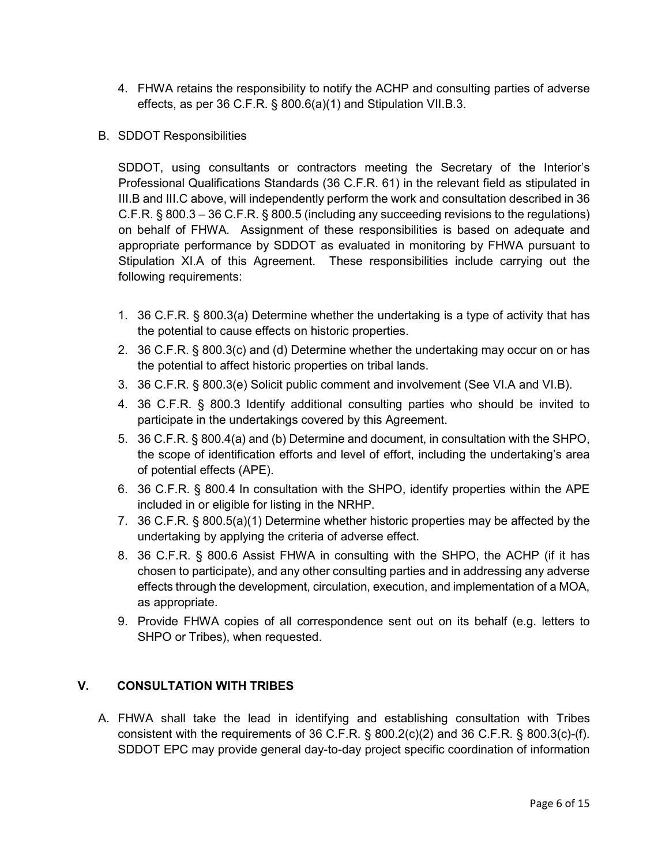- 4. FHWA retains the responsibility to notify the ACHP and consulting parties of adverse effects, as per 36 C.F.R. § 800.6(a)(1) and Stipulation VII.B.3.
- B. SDDOT Responsibilities

SDDOT, using consultants or contractors meeting the Secretary of the Interior's Professional Qualifications Standards (36 C.F.R. 61) in the relevant field as stipulated in III.B and III.C above, will independently perform the work and consultation described in 36 C.F.R. § 800.3 – 36 C.F.R. § 800.5 (including any succeeding revisions to the regulations) on behalf of FHWA. Assignment of these responsibilities is based on adequate and appropriate performance by SDDOT as evaluated in monitoring by FHWA pursuant to Stipulation XI.A of this Agreement. These responsibilities include carrying out the following requirements:

- 1. 36 C.F.R. § 800.3(a) Determine whether the undertaking is a type of activity that has the potential to cause effects on historic properties.
- 2. 36 C.F.R. § 800.3(c) and (d) Determine whether the undertaking may occur on or has the potential to affect historic properties on tribal lands.
- 3. 36 C.F.R. § 800.3(e) Solicit public comment and involvement (See VI.A and VI.B).
- 4. 36 C.F.R. § 800.3 Identify additional consulting parties who should be invited to participate in the undertakings covered by this Agreement.
- 5. 36 C.F.R. § 800.4(a) and (b) Determine and document, in consultation with the SHPO, the scope of identification efforts and level of effort, including the undertaking's area of potential effects (APE).
- 6. 36 C.F.R. § 800.4 In consultation with the SHPO, identify properties within the APE included in or eligible for listing in the NRHP.
- 7. 36 C.F.R. § 800.5(a)(1) Determine whether historic properties may be affected by the undertaking by applying the criteria of adverse effect.
- 8. 36 C.F.R. § 800.6 Assist FHWA in consulting with the SHPO, the ACHP (if it has chosen to participate), and any other consulting parties and in addressing any adverse effects through the development, circulation, execution, and implementation of a MOA, as appropriate.
- 9. Provide FHWA copies of all correspondence sent out on its behalf (e.g. letters to SHPO or Tribes), when requested.

## **V. CONSULTATION WITH TRIBES**

A. FHWA shall take the lead in identifying and establishing consultation with Tribes consistent with the requirements of 36 C.F.R. § 800.2(c)(2) and 36 C.F.R. § 800.3(c)-(f). SDDOT EPC may provide general day-to-day project specific coordination of information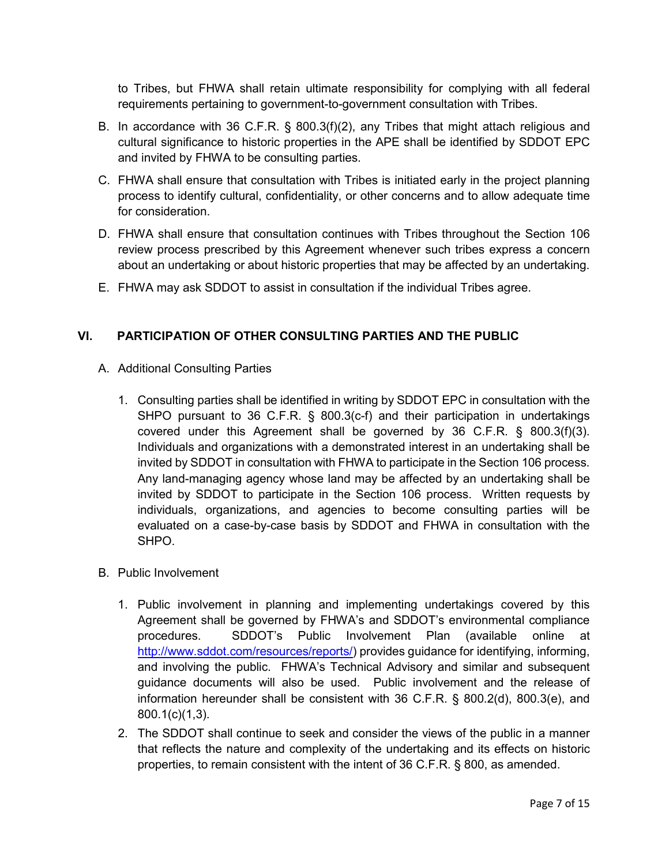to Tribes, but FHWA shall retain ultimate responsibility for complying with all federal requirements pertaining to government-to-government consultation with Tribes.

- B. In accordance with 36 C.F.R. § 800.3(f)(2), any Tribes that might attach religious and cultural significance to historic properties in the APE shall be identified by SDDOT EPC and invited by FHWA to be consulting parties.
- C. FHWA shall ensure that consultation with Tribes is initiated early in the project planning process to identify cultural, confidentiality, or other concerns and to allow adequate time for consideration.
- D. FHWA shall ensure that consultation continues with Tribes throughout the Section 106 review process prescribed by this Agreement whenever such tribes express a concern about an undertaking or about historic properties that may be affected by an undertaking.
- E. FHWA may ask SDDOT to assist in consultation if the individual Tribes agree.

## **VI. PARTICIPATION OF OTHER CONSULTING PARTIES AND THE PUBLIC**

- A. Additional Consulting Parties
	- 1. Consulting parties shall be identified in writing by SDDOT EPC in consultation with the SHPO pursuant to 36 C.F.R. § 800.3(c-f) and their participation in undertakings covered under this Agreement shall be governed by 36 C.F.R. § 800.3(f)(3). Individuals and organizations with a demonstrated interest in an undertaking shall be invited by SDDOT in consultation with FHWA to participate in the Section 106 process. Any land-managing agency whose land may be affected by an undertaking shall be invited by SDDOT to participate in the Section 106 process. Written requests by individuals, organizations, and agencies to become consulting parties will be evaluated on a case-by-case basis by SDDOT and FHWA in consultation with the SHPO.
- B. Public Involvement
	- 1. Public involvement in planning and implementing undertakings covered by this Agreement shall be governed by FHWA's and SDDOT's environmental compliance procedures. SDDOT's Public Involvement Plan (available online at [http://www.sddot.com/resources/reports/\)](http://www.sddot.com/resources/reports/) provides guidance for identifying, informing, and involving the public. FHWA's Technical Advisory and similar and subsequent guidance documents will also be used. Public involvement and the release of information hereunder shall be consistent with 36 C.F.R. § 800.2(d), 800.3(e), and 800.1(c)(1,3).
	- 2. The SDDOT shall continue to seek and consider the views of the public in a manner that reflects the nature and complexity of the undertaking and its effects on historic properties, to remain consistent with the intent of 36 C.F.R. § 800, as amended.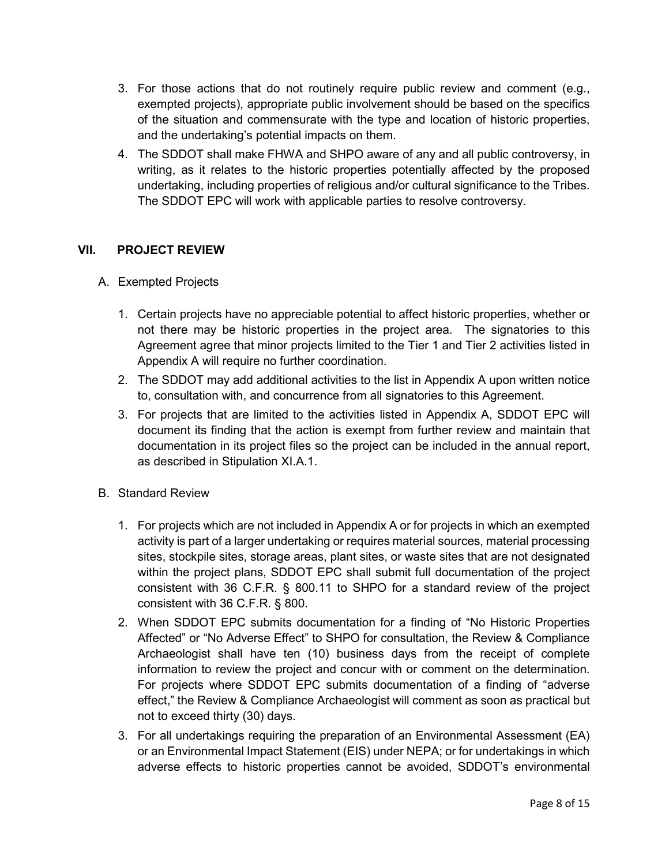- 3. For those actions that do not routinely require public review and comment (e.g., exempted projects), appropriate public involvement should be based on the specifics of the situation and commensurate with the type and location of historic properties, and the undertaking's potential impacts on them.
- 4. The SDDOT shall make FHWA and SHPO aware of any and all public controversy, in writing, as it relates to the historic properties potentially affected by the proposed undertaking, including properties of religious and/or cultural significance to the Tribes. The SDDOT EPC will work with applicable parties to resolve controversy.

## **VII. PROJECT REVIEW**

- A. Exempted Projects
	- 1. Certain projects have no appreciable potential to affect historic properties, whether or not there may be historic properties in the project area. The signatories to this Agreement agree that minor projects limited to the Tier 1 and Tier 2 activities listed in Appendix A will require no further coordination.
	- 2. The SDDOT may add additional activities to the list in Appendix A upon written notice to, consultation with, and concurrence from all signatories to this Agreement.
	- 3. For projects that are limited to the activities listed in Appendix A, SDDOT EPC will document its finding that the action is exempt from further review and maintain that documentation in its project files so the project can be included in the annual report, as described in Stipulation XI.A.1.
- B. Standard Review
	- 1. For projects which are not included in Appendix A or for projects in which an exempted activity is part of a larger undertaking or requires material sources, material processing sites, stockpile sites, storage areas, plant sites, or waste sites that are not designated within the project plans, SDDOT EPC shall submit full documentation of the project consistent with 36 C.F.R. § 800.11 to SHPO for a standard review of the project consistent with 36 C.F.R. § 800.
	- 2. When SDDOT EPC submits documentation for a finding of "No Historic Properties Affected" or "No Adverse Effect" to SHPO for consultation, the Review & Compliance Archaeologist shall have ten (10) business days from the receipt of complete information to review the project and concur with or comment on the determination. For projects where SDDOT EPC submits documentation of a finding of "adverse effect," the Review & Compliance Archaeologist will comment as soon as practical but not to exceed thirty (30) days.
	- 3. For all undertakings requiring the preparation of an Environmental Assessment (EA) or an Environmental Impact Statement (EIS) under NEPA; or for undertakings in which adverse effects to historic properties cannot be avoided, SDDOT's environmental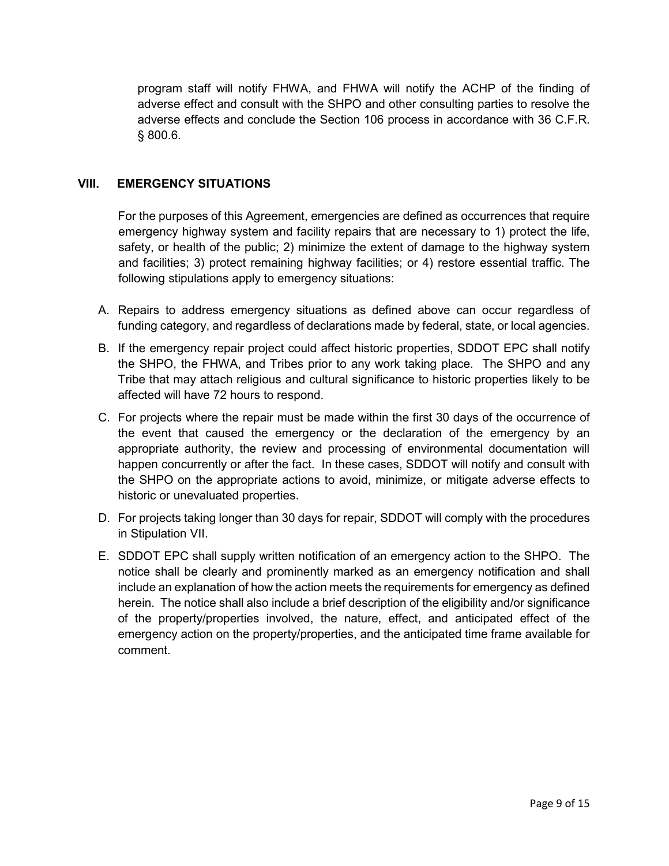program staff will notify FHWA, and FHWA will notify the ACHP of the finding of adverse effect and consult with the SHPO and other consulting parties to resolve the adverse effects and conclude the Section 106 process in accordance with 36 C.F.R. § 800.6.

### **VIII. EMERGENCY SITUATIONS**

For the purposes of this Agreement, emergencies are defined as occurrences that require emergency highway system and facility repairs that are necessary to 1) protect the life, safety, or health of the public; 2) minimize the extent of damage to the highway system and facilities; 3) protect remaining highway facilities; or 4) restore essential traffic. The following stipulations apply to emergency situations:

- A. Repairs to address emergency situations as defined above can occur regardless of funding category, and regardless of declarations made by federal, state, or local agencies.
- B. If the emergency repair project could affect historic properties, SDDOT EPC shall notify the SHPO, the FHWA, and Tribes prior to any work taking place. The SHPO and any Tribe that may attach religious and cultural significance to historic properties likely to be affected will have 72 hours to respond.
- C. For projects where the repair must be made within the first 30 days of the occurrence of the event that caused the emergency or the declaration of the emergency by an appropriate authority, the review and processing of environmental documentation will happen concurrently or after the fact. In these cases, SDDOT will notify and consult with the SHPO on the appropriate actions to avoid, minimize, or mitigate adverse effects to historic or unevaluated properties.
- D. For projects taking longer than 30 days for repair, SDDOT will comply with the procedures in Stipulation VII.
- E. SDDOT EPC shall supply written notification of an emergency action to the SHPO. The notice shall be clearly and prominently marked as an emergency notification and shall include an explanation of how the action meets the requirements for emergency as defined herein. The notice shall also include a brief description of the eligibility and/or significance of the property/properties involved, the nature, effect, and anticipated effect of the emergency action on the property/properties, and the anticipated time frame available for comment.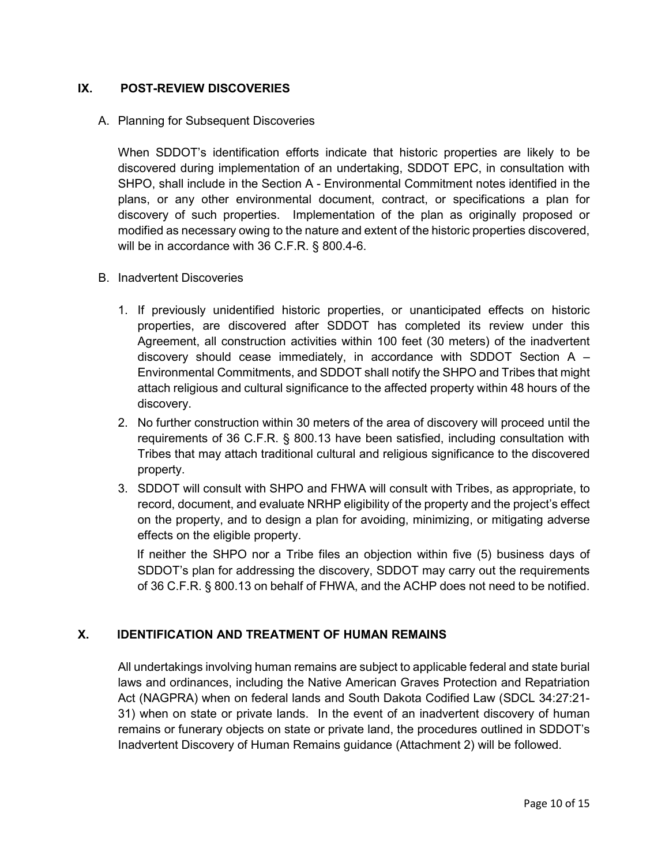## **IX. POST-REVIEW DISCOVERIES**

### A. Planning for Subsequent Discoveries

When SDDOT's identification efforts indicate that historic properties are likely to be discovered during implementation of an undertaking, SDDOT EPC, in consultation with SHPO, shall include in the Section A - Environmental Commitment notes identified in the plans, or any other environmental document, contract, or specifications a plan for discovery of such properties. Implementation of the plan as originally proposed or modified as necessary owing to the nature and extent of the historic properties discovered, will be in accordance with 36 C.F.R. § 800.4-6.

### B. Inadvertent Discoveries

- 1. If previously unidentified historic properties, or unanticipated effects on historic properties, are discovered after SDDOT has completed its review under this Agreement, all construction activities within 100 feet (30 meters) of the inadvertent discovery should cease immediately, in accordance with SDDOT Section  $A -$ Environmental Commitments, and SDDOT shall notify the SHPO and Tribes that might attach religious and cultural significance to the affected property within 48 hours of the discovery.
- 2. No further construction within 30 meters of the area of discovery will proceed until the requirements of 36 C.F.R. § 800.13 have been satisfied, including consultation with Tribes that may attach traditional cultural and religious significance to the discovered property.
- 3. SDDOT will consult with SHPO and FHWA will consult with Tribes, as appropriate, to record, document, and evaluate NRHP eligibility of the property and the project's effect on the property, and to design a plan for avoiding, minimizing, or mitigating adverse effects on the eligible property.

If neither the SHPO nor a Tribe files an objection within five (5) business days of SDDOT's plan for addressing the discovery, SDDOT may carry out the requirements of 36 C.F.R. § 800.13 on behalf of FHWA, and the ACHP does not need to be notified.

## **X. IDENTIFICATION AND TREATMENT OF HUMAN REMAINS**

All undertakings involving human remains are subject to applicable federal and state burial laws and ordinances, including the Native American Graves Protection and Repatriation Act (NAGPRA) when on federal lands and South Dakota Codified Law (SDCL 34:27:21- 31) when on state or private lands. In the event of an inadvertent discovery of human remains or funerary objects on state or private land, the procedures outlined in SDDOT's Inadvertent Discovery of Human Remains guidance (Attachment 2) will be followed.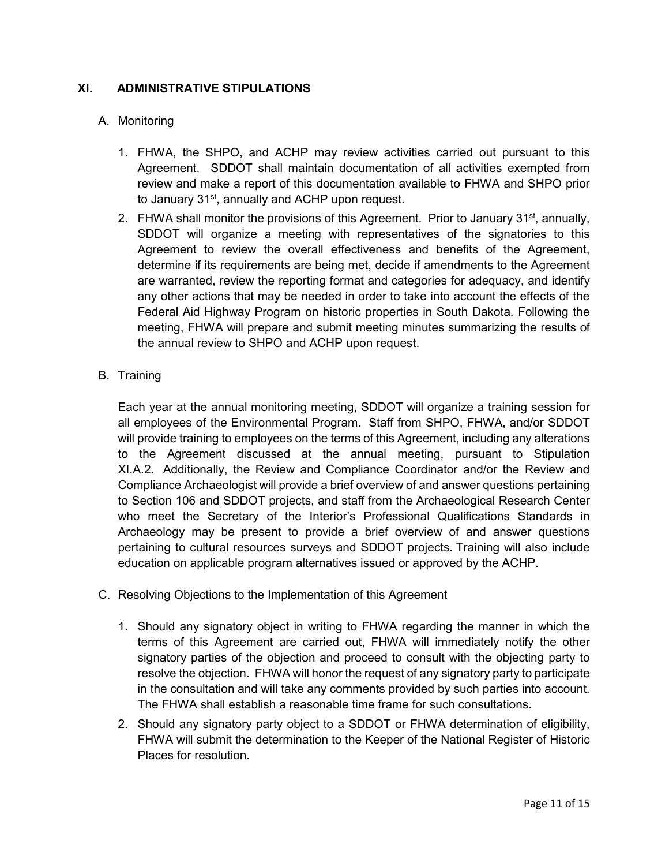## **XI. ADMINISTRATIVE STIPULATIONS**

## A. Monitoring

- 1. FHWA, the SHPO, and ACHP may review activities carried out pursuant to this Agreement. SDDOT shall maintain documentation of all activities exempted from review and make a report of this documentation available to FHWA and SHPO prior to January 31<sup>st</sup>, annually and ACHP upon request.
- 2. FHWA shall monitor the provisions of this Agreement. Prior to January 31<sup>st</sup>, annually, SDDOT will organize a meeting with representatives of the signatories to this Agreement to review the overall effectiveness and benefits of the Agreement, determine if its requirements are being met, decide if amendments to the Agreement are warranted, review the reporting format and categories for adequacy, and identify any other actions that may be needed in order to take into account the effects of the Federal Aid Highway Program on historic properties in South Dakota. Following the meeting, FHWA will prepare and submit meeting minutes summarizing the results of the annual review to SHPO and ACHP upon request.
- B. Training

Each year at the annual monitoring meeting, SDDOT will organize a training session for all employees of the Environmental Program. Staff from SHPO, FHWA, and/or SDDOT will provide training to employees on the terms of this Agreement, including any alterations to the Agreement discussed at the annual meeting, pursuant to Stipulation XI.A.2. Additionally, the Review and Compliance Coordinator and/or the Review and Compliance Archaeologist will provide a brief overview of and answer questions pertaining to Section 106 and SDDOT projects, and staff from the Archaeological Research Center who meet the Secretary of the Interior's Professional Qualifications Standards in Archaeology may be present to provide a brief overview of and answer questions pertaining to cultural resources surveys and SDDOT projects. Training will also include education on applicable program alternatives issued or approved by the ACHP.

- C. Resolving Objections to the Implementation of this Agreement
	- 1. Should any signatory object in writing to FHWA regarding the manner in which the terms of this Agreement are carried out, FHWA will immediately notify the other signatory parties of the objection and proceed to consult with the objecting party to resolve the objection. FHWA will honor the request of any signatory party to participate in the consultation and will take any comments provided by such parties into account. The FHWA shall establish a reasonable time frame for such consultations.
	- 2. Should any signatory party object to a SDDOT or FHWA determination of eligibility, FHWA will submit the determination to the Keeper of the National Register of Historic Places for resolution.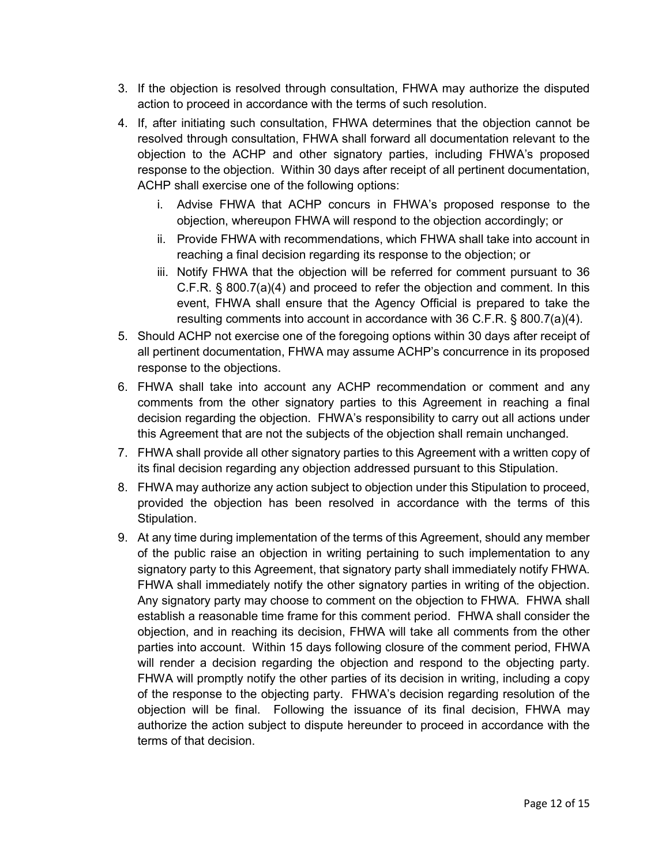- 3. If the objection is resolved through consultation, FHWA may authorize the disputed action to proceed in accordance with the terms of such resolution.
- 4. If, after initiating such consultation, FHWA determines that the objection cannot be resolved through consultation, FHWA shall forward all documentation relevant to the objection to the ACHP and other signatory parties, including FHWA's proposed response to the objection. Within 30 days after receipt of all pertinent documentation, ACHP shall exercise one of the following options:
	- i. Advise FHWA that ACHP concurs in FHWA's proposed response to the objection, whereupon FHWA will respond to the objection accordingly; or
	- ii. Provide FHWA with recommendations, which FHWA shall take into account in reaching a final decision regarding its response to the objection; or
	- iii. Notify FHWA that the objection will be referred for comment pursuant to 36 C.F.R. § 800.7(a)(4) and proceed to refer the objection and comment. In this event, FHWA shall ensure that the Agency Official is prepared to take the resulting comments into account in accordance with 36 C.F.R. § 800.7(a)(4).
- 5. Should ACHP not exercise one of the foregoing options within 30 days after receipt of all pertinent documentation, FHWA may assume ACHP's concurrence in its proposed response to the objections.
- 6. FHWA shall take into account any ACHP recommendation or comment and any comments from the other signatory parties to this Agreement in reaching a final decision regarding the objection. FHWA's responsibility to carry out all actions under this Agreement that are not the subjects of the objection shall remain unchanged.
- 7. FHWA shall provide all other signatory parties to this Agreement with a written copy of its final decision regarding any objection addressed pursuant to this Stipulation.
- 8. FHWA may authorize any action subject to objection under this Stipulation to proceed, provided the objection has been resolved in accordance with the terms of this Stipulation.
- 9. At any time during implementation of the terms of this Agreement, should any member of the public raise an objection in writing pertaining to such implementation to any signatory party to this Agreement, that signatory party shall immediately notify FHWA. FHWA shall immediately notify the other signatory parties in writing of the objection. Any signatory party may choose to comment on the objection to FHWA. FHWA shall establish a reasonable time frame for this comment period. FHWA shall consider the objection, and in reaching its decision, FHWA will take all comments from the other parties into account. Within 15 days following closure of the comment period, FHWA will render a decision regarding the objection and respond to the objecting party. FHWA will promptly notify the other parties of its decision in writing, including a copy of the response to the objecting party. FHWA's decision regarding resolution of the objection will be final. Following the issuance of its final decision, FHWA may authorize the action subject to dispute hereunder to proceed in accordance with the terms of that decision.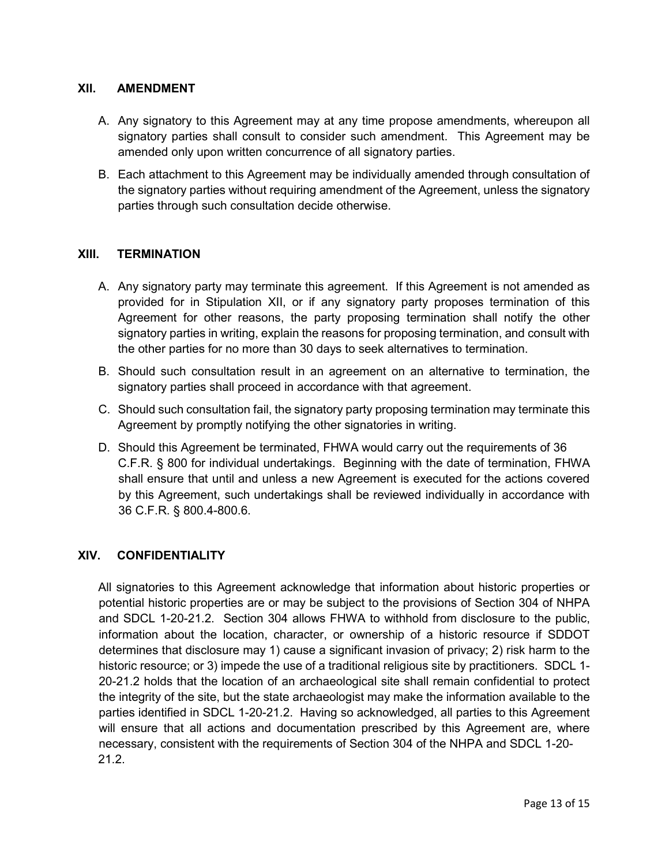### **XII. AMENDMENT**

- A. Any signatory to this Agreement may at any time propose amendments, whereupon all signatory parties shall consult to consider such amendment. This Agreement may be amended only upon written concurrence of all signatory parties.
- B. Each attachment to this Agreement may be individually amended through consultation of the signatory parties without requiring amendment of the Agreement, unless the signatory parties through such consultation decide otherwise.

### **XIII. TERMINATION**

- A. Any signatory party may terminate this agreement. If this Agreement is not amended as provided for in Stipulation XII, or if any signatory party proposes termination of this Agreement for other reasons, the party proposing termination shall notify the other signatory parties in writing, explain the reasons for proposing termination, and consult with the other parties for no more than 30 days to seek alternatives to termination.
- B. Should such consultation result in an agreement on an alternative to termination, the signatory parties shall proceed in accordance with that agreement.
- C. Should such consultation fail, the signatory party proposing termination may terminate this Agreement by promptly notifying the other signatories in writing.
- D. Should this Agreement be terminated, FHWA would carry out the requirements of 36 C.F.R. § 800 for individual undertakings. Beginning with the date of termination, FHWA shall ensure that until and unless a new Agreement is executed for the actions covered by this Agreement, such undertakings shall be reviewed individually in accordance with 36 C.F.R. § 800.4-800.6.

## **XIV. CONFIDENTIALITY**

All signatories to this Agreement acknowledge that information about historic properties or potential historic properties are or may be subject to the provisions of Section 304 of NHPA and SDCL 1-20-21.2. Section 304 allows FHWA to withhold from disclosure to the public, information about the location, character, or ownership of a historic resource if SDDOT determines that disclosure may 1) cause a significant invasion of privacy; 2) risk harm to the historic resource; or 3) impede the use of a traditional religious site by practitioners. SDCL 1-20-21.2 holds that the location of an archaeological site shall remain confidential to protect the integrity of the site, but the state archaeologist may make the information available to the parties identified in SDCL 1-20-21.2. Having so acknowledged, all parties to this Agreement will ensure that all actions and documentation prescribed by this Agreement are, where necessary, consistent with the requirements of Section 304 of the NHPA and SDCL 1-20- 21.2.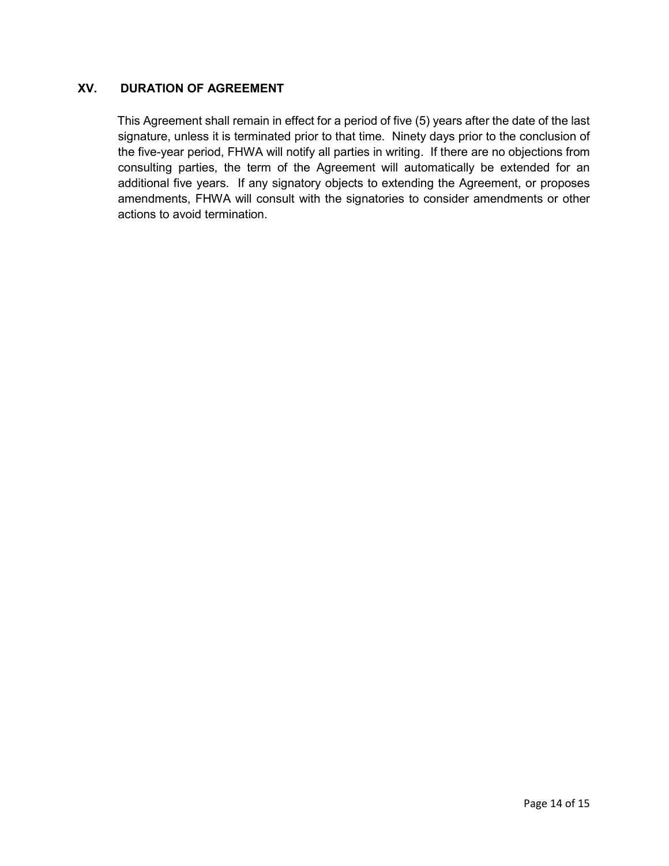## **XV. DURATION OF AGREEMENT**

This Agreement shall remain in effect for a period of five (5) years after the date of the last signature, unless it is terminated prior to that time. Ninety days prior to the conclusion of the five-year period, FHWA will notify all parties in writing. If there are no objections from consulting parties, the term of the Agreement will automatically be extended for an additional five years. If any signatory objects to extending the Agreement, or proposes amendments, FHWA will consult with the signatories to consider amendments or other actions to avoid termination.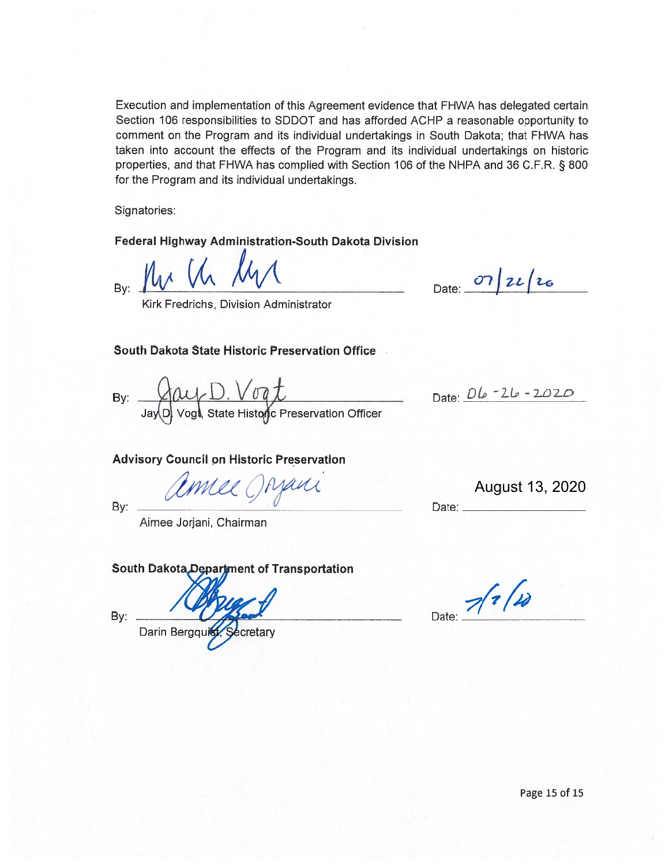Execution and implementation of this Agreement evidence that FHWA has delegated certain Section 106 responsibilities to SDDOT and has afforded ACHP a reasonable opportunity to comment on the Program and its individual undertakings in South Dakota; that FHWA has taken into account the effects of the Program and its individual undertakings on historic properties, and that FHWA has complied with Section 106 of the NHPA and 36 C.F.R. § 800 for the Program and its individual undertakings.

Signatories:

Federal Highway Administration-South Dakota Division

By:

Date:  $07/22/c$ 

Date: 06-26-2020

Kirk Fredrichs, Division Administrator

### South Dakota State Historic Preservation Office

By: Jay D Vogt, State Historic Preservation Officer

#### **Advisory Council on Historic Preservation**

Comee Orzani

August 13, 2020

By:

Aimee Jorjani, Chairman

### South Dakota Department of Transportation

By:

Darin Bergqui cretary

 $71/10$ Date:

Date: \_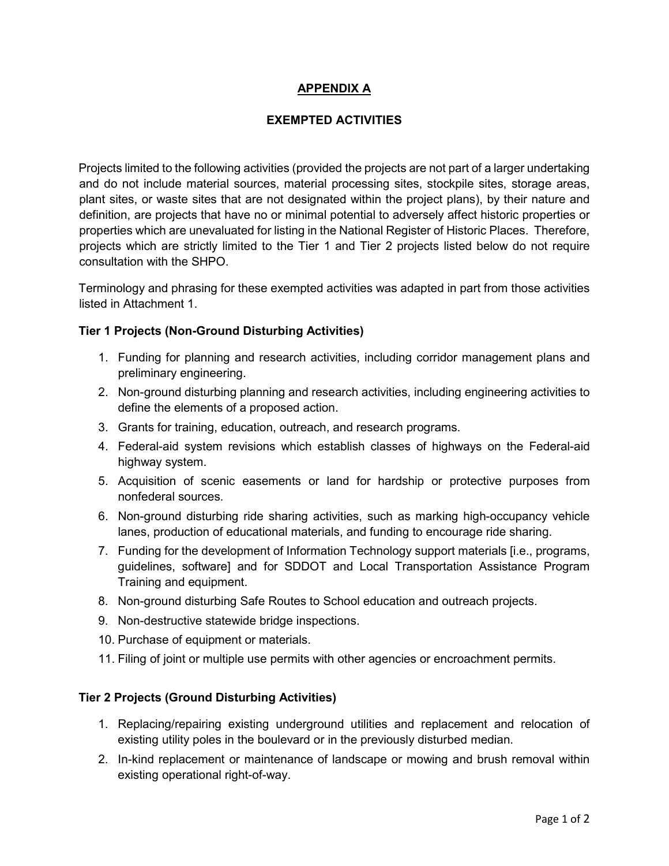## **APPENDIX A**

## **EXEMPTED ACTIVITIES**

Projects limited to the following activities (provided the projects are not part of a larger undertaking and do not include material sources, material processing sites, stockpile sites, storage areas, plant sites, or waste sites that are not designated within the project plans), by their nature and definition, are projects that have no or minimal potential to adversely affect historic properties or properties which are unevaluated for listing in the National Register of Historic Places. Therefore, projects which are strictly limited to the Tier 1 and Tier 2 projects listed below do not require consultation with the SHPO.

Terminology and phrasing for these exempted activities was adapted in part from those activities listed in Attachment 1.

### **Tier 1 Projects (Non-Ground Disturbing Activities)**

- 1. Funding for planning and research activities, including corridor management plans and preliminary engineering.
- 2. Non-ground disturbing planning and research activities, including engineering activities to define the elements of a proposed action.
- 3. Grants for training, education, outreach, and research programs.
- 4. Federal-aid system revisions which establish classes of highways on the Federal-aid highway system.
- 5. Acquisition of scenic easements or land for hardship or protective purposes from nonfederal sources.
- 6. Non-ground disturbing ride sharing activities, such as marking high-occupancy vehicle lanes, production of educational materials, and funding to encourage ride sharing.
- 7. Funding for the development of Information Technology support materials [i.e., programs, guidelines, software] and for SDDOT and Local Transportation Assistance Program Training and equipment.
- 8. Non-ground disturbing Safe Routes to School education and outreach projects.
- 9. Non-destructive statewide bridge inspections.
- 10. Purchase of equipment or materials.
- 11. Filing of joint or multiple use permits with other agencies or encroachment permits.

### **Tier 2 Projects (Ground Disturbing Activities)**

- 1. Replacing/repairing existing underground utilities and replacement and relocation of existing utility poles in the boulevard or in the previously disturbed median.
- 2. In-kind replacement or maintenance of landscape or mowing and brush removal within existing operational right-of-way.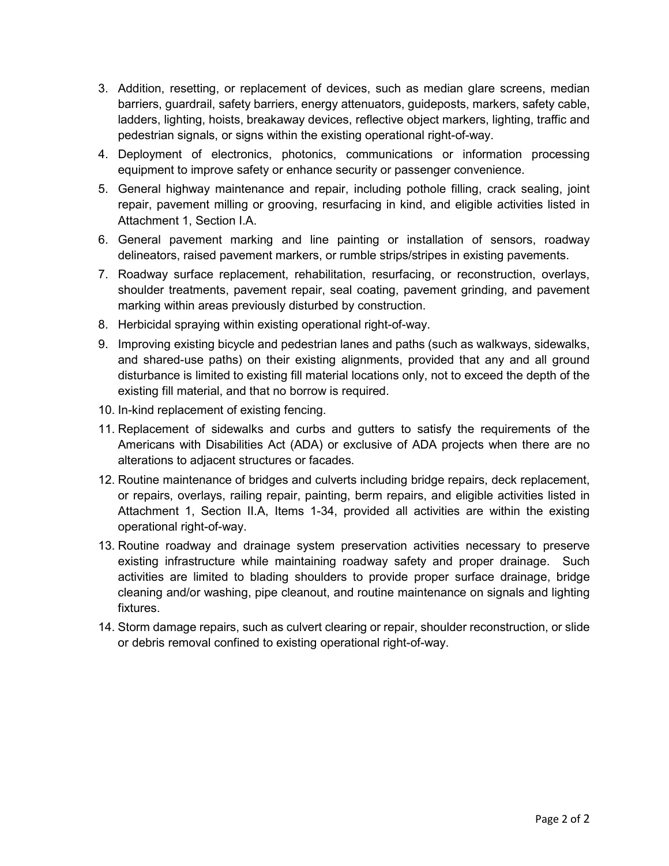- 3. Addition, resetting, or replacement of devices, such as median glare screens, median barriers, guardrail, safety barriers, energy attenuators, guideposts, markers, safety cable, ladders, lighting, hoists, breakaway devices, reflective object markers, lighting, traffic and pedestrian signals, or signs within the existing operational right-of-way.
- 4. Deployment of electronics, photonics, communications or information processing equipment to improve safety or enhance security or passenger convenience.
- 5. General highway maintenance and repair, including pothole filling, crack sealing, joint repair, pavement milling or grooving, resurfacing in kind, and eligible activities listed in Attachment 1, Section I.A.
- 6. General pavement marking and line painting or installation of sensors, roadway delineators, raised pavement markers, or rumble strips/stripes in existing pavements.
- 7. Roadway surface replacement, rehabilitation, resurfacing, or reconstruction, overlays, shoulder treatments, pavement repair, seal coating, pavement grinding, and pavement marking within areas previously disturbed by construction.
- 8. Herbicidal spraying within existing operational right-of-way.
- 9. Improving existing bicycle and pedestrian lanes and paths (such as walkways, sidewalks, and shared-use paths) on their existing alignments, provided that any and all ground disturbance is limited to existing fill material locations only, not to exceed the depth of the existing fill material, and that no borrow is required.
- 10. In-kind replacement of existing fencing.
- 11. Replacement of sidewalks and curbs and gutters to satisfy the requirements of the Americans with Disabilities Act (ADA) or exclusive of ADA projects when there are no alterations to adjacent structures or facades.
- 12. Routine maintenance of bridges and culverts including bridge repairs, deck replacement, or repairs, overlays, railing repair, painting, berm repairs, and eligible activities listed in Attachment 1, Section II.A, Items 1-34, provided all activities are within the existing operational right-of-way.
- 13. Routine roadway and drainage system preservation activities necessary to preserve existing infrastructure while maintaining roadway safety and proper drainage. Such activities are limited to blading shoulders to provide proper surface drainage, bridge cleaning and/or washing, pipe cleanout, and routine maintenance on signals and lighting fixtures.
- 14. Storm damage repairs, such as culvert clearing or repair, shoulder reconstruction, or slide or debris removal confined to existing operational right-of-way.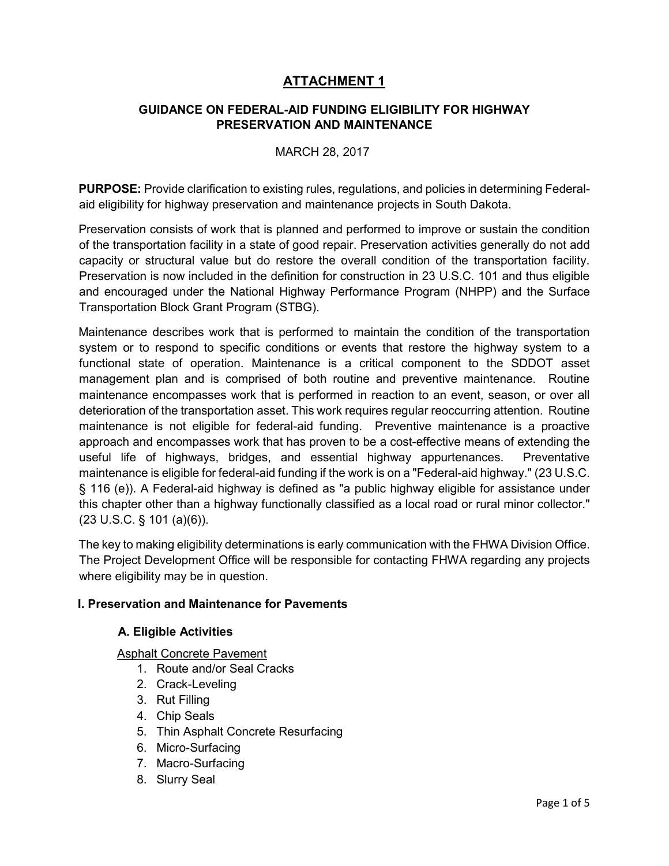# **ATTACHMENT 1**

## **GUIDANCE ON FEDERAL-AID FUNDING ELIGIBILITY FOR HIGHWAY PRESERVATION AND MAINTENANCE**

### MARCH 28, 2017

**PURPOSE:** Provide clarification to existing rules, regulations, and policies in determining Federalaid eligibility for highway preservation and maintenance projects in South Dakota.

Preservation consists of work that is planned and performed to improve or sustain the condition of the transportation facility in a state of good repair. Preservation activities generally do not add capacity or structural value but do restore the overall condition of the transportation facility. Preservation is now included in the definition for construction in 23 U.S.C. 101 and thus eligible and encouraged under the National Highway Performance Program (NHPP) and the Surface Transportation Block Grant Program (STBG).

Maintenance describes work that is performed to maintain the condition of the transportation system or to respond to specific conditions or events that restore the highway system to a functional state of operation. Maintenance is a critical component to the SDDOT asset management plan and is comprised of both routine and preventive maintenance. Routine maintenance encompasses work that is performed in reaction to an event, season, or over all deterioration of the transportation asset. This work requires regular reoccurring attention. Routine maintenance is not eligible for federal-aid funding. Preventive maintenance is a proactive approach and encompasses work that has proven to be a cost-effective means of extending the useful life of highways, bridges, and essential highway appurtenances. Preventative maintenance is eligible for federal-aid funding if the work is on a "Federal-aid highway." (23 U.S.C. § 116 (e)). A Federal-aid highway is defined as "a public highway eligible for assistance under this chapter other than a highway functionally classified as a local road or rural minor collector." (23 U.S.C. § 101 (a)(6)).

The key to making eligibility determinations is early communication with the FHWA Division Office. The Project Development Office will be responsible for contacting FHWA regarding any projects where eligibility may be in question.

## **I. Preservation and Maintenance for Pavements**

### **A. Eligible Activities**

Asphalt Concrete Pavement

- 1. Route and/or Seal Cracks
- 2. Crack-Leveling
- 3. Rut Filling
- 4. Chip Seals
- 5. Thin Asphalt Concrete Resurfacing
- 6. Micro-Surfacing
- 7. Macro-Surfacing
- 8. Slurry Seal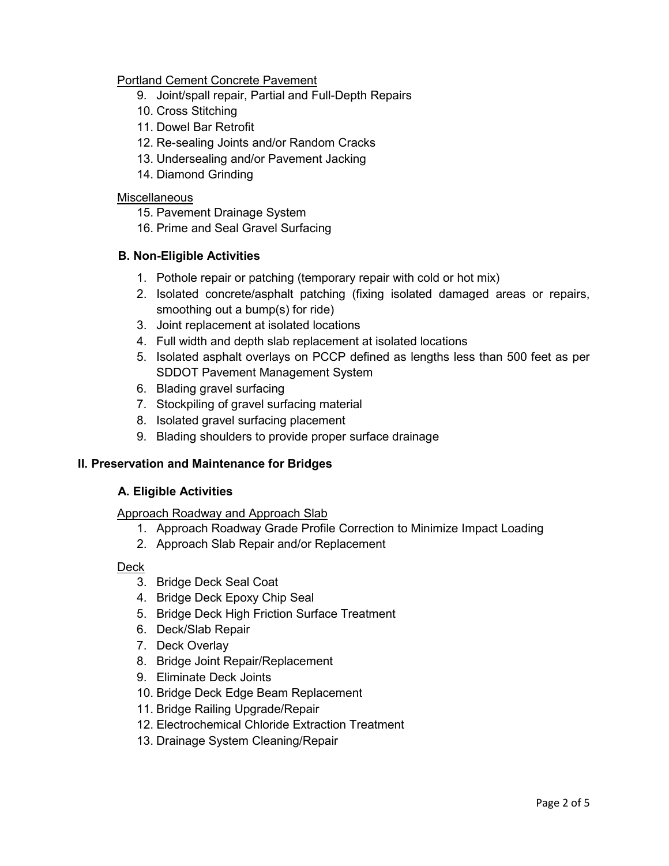## Portland Cement Concrete Pavement

- 9. Joint/spall repair, Partial and Full-Depth Repairs
- 10. Cross Stitching
- 11. Dowel Bar Retrofit
- 12. Re-sealing Joints and/or Random Cracks
- 13. Undersealing and/or Pavement Jacking
- 14. Diamond Grinding

### **Miscellaneous**

- 15. Pavement Drainage System
- 16. Prime and Seal Gravel Surfacing

## **B. Non-Eligible Activities**

- 1. Pothole repair or patching (temporary repair with cold or hot mix)
- 2. Isolated concrete/asphalt patching (fixing isolated damaged areas or repairs, smoothing out a bump(s) for ride)
- 3. Joint replacement at isolated locations
- 4. Full width and depth slab replacement at isolated locations
- 5. Isolated asphalt overlays on PCCP defined as lengths less than 500 feet as per SDDOT Pavement Management System
- 6. Blading gravel surfacing
- 7. Stockpiling of gravel surfacing material
- 8. Isolated gravel surfacing placement
- 9. Blading shoulders to provide proper surface drainage

## **II. Preservation and Maintenance for Bridges**

## **A. Eligible Activities**

### Approach Roadway and Approach Slab

- 1. Approach Roadway Grade Profile Correction to Minimize Impact Loading
- 2. Approach Slab Repair and/or Replacement

## Deck

- 3. Bridge Deck Seal Coat
- 4. Bridge Deck Epoxy Chip Seal
- 5. Bridge Deck High Friction Surface Treatment
- 6. Deck/Slab Repair
- 7. Deck Overlay
- 8. Bridge Joint Repair/Replacement
- 9. Eliminate Deck Joints
- 10. Bridge Deck Edge Beam Replacement
- 11. Bridge Railing Upgrade/Repair
- 12. Electrochemical Chloride Extraction Treatment
- 13. Drainage System Cleaning/Repair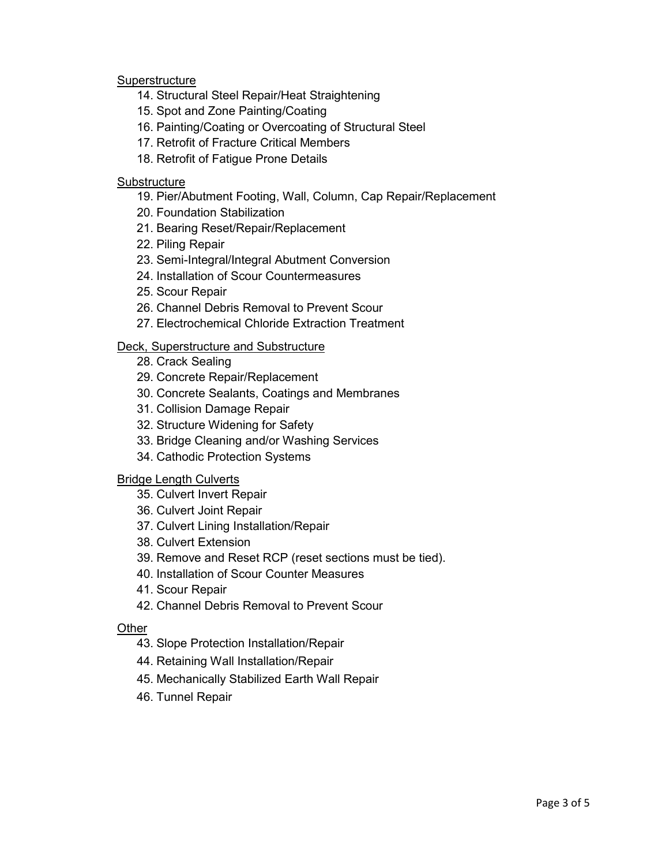### **Superstructure**

- 14. Structural Steel Repair/Heat Straightening
- 15. Spot and Zone Painting/Coating
- 16. Painting/Coating or Overcoating of Structural Steel
- 17. Retrofit of Fracture Critical Members
- 18. Retrofit of Fatigue Prone Details

### **Substructure**

- 19. Pier/Abutment Footing, Wall, Column, Cap Repair/Replacement
- 20. Foundation Stabilization
- 21. Bearing Reset/Repair/Replacement
- 22. Piling Repair
- 23. Semi-Integral/Integral Abutment Conversion
- 24. Installation of Scour Countermeasures
- 25. Scour Repair
- 26. Channel Debris Removal to Prevent Scour
- 27. Electrochemical Chloride Extraction Treatment

### Deck, Superstructure and Substructure

- 28. Crack Sealing
- 29. Concrete Repair/Replacement
- 30. Concrete Sealants, Coatings and Membranes
- 31. Collision Damage Repair
- 32. Structure Widening for Safety
- 33. Bridge Cleaning and/or Washing Services
- 34. Cathodic Protection Systems

### Bridge Length Culverts

- 35. Culvert Invert Repair
- 36. Culvert Joint Repair
- 37. Culvert Lining Installation/Repair
- 38. Culvert Extension
- 39. Remove and Reset RCP (reset sections must be tied).
- 40. Installation of Scour Counter Measures
- 41. Scour Repair
- 42. Channel Debris Removal to Prevent Scour

### **Other**

- 43. Slope Protection Installation/Repair
- 44. Retaining Wall Installation/Repair
- 45. Mechanically Stabilized Earth Wall Repair
- 46. Tunnel Repair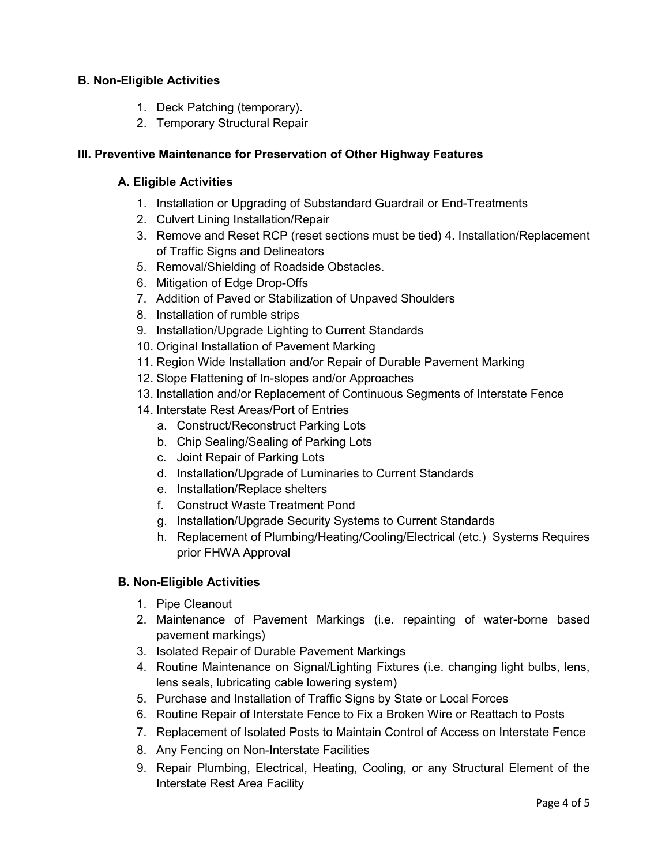## **B. Non-Eligible Activities**

- 1. Deck Patching (temporary).
- 2. Temporary Structural Repair

## **III. Preventive Maintenance for Preservation of Other Highway Features**

## **A. Eligible Activities**

- 1. Installation or Upgrading of Substandard Guardrail or End-Treatments
- 2. Culvert Lining Installation/Repair
- 3. Remove and Reset RCP (reset sections must be tied) 4. Installation/Replacement of Traffic Signs and Delineators
- 5. Removal/Shielding of Roadside Obstacles.
- 6. Mitigation of Edge Drop-Offs
- 7. Addition of Paved or Stabilization of Unpaved Shoulders
- 8. Installation of rumble strips
- 9. Installation/Upgrade Lighting to Current Standards
- 10. Original Installation of Pavement Marking
- 11. Region Wide Installation and/or Repair of Durable Pavement Marking
- 12. Slope Flattening of In-slopes and/or Approaches
- 13. Installation and/or Replacement of Continuous Segments of Interstate Fence
- 14. Interstate Rest Areas/Port of Entries
	- a. Construct/Reconstruct Parking Lots
	- b. Chip Sealing/Sealing of Parking Lots
	- c. Joint Repair of Parking Lots
	- d. Installation/Upgrade of Luminaries to Current Standards
	- e. Installation/Replace shelters
	- f. Construct Waste Treatment Pond
	- g. Installation/Upgrade Security Systems to Current Standards
	- h. Replacement of Plumbing/Heating/Cooling/Electrical (etc.) Systems Requires prior FHWA Approval

## **B. Non-Eligible Activities**

- 1. Pipe Cleanout
- 2. Maintenance of Pavement Markings (i.e. repainting of water-borne based pavement markings)
- 3. Isolated Repair of Durable Pavement Markings
- 4. Routine Maintenance on Signal/Lighting Fixtures (i.e. changing light bulbs, lens, lens seals, lubricating cable lowering system)
- 5. Purchase and Installation of Traffic Signs by State or Local Forces
- 6. Routine Repair of Interstate Fence to Fix a Broken Wire or Reattach to Posts
- 7. Replacement of Isolated Posts to Maintain Control of Access on Interstate Fence
- 8. Any Fencing on Non-Interstate Facilities
- 9. Repair Plumbing, Electrical, Heating, Cooling, or any Structural Element of the Interstate Rest Area Facility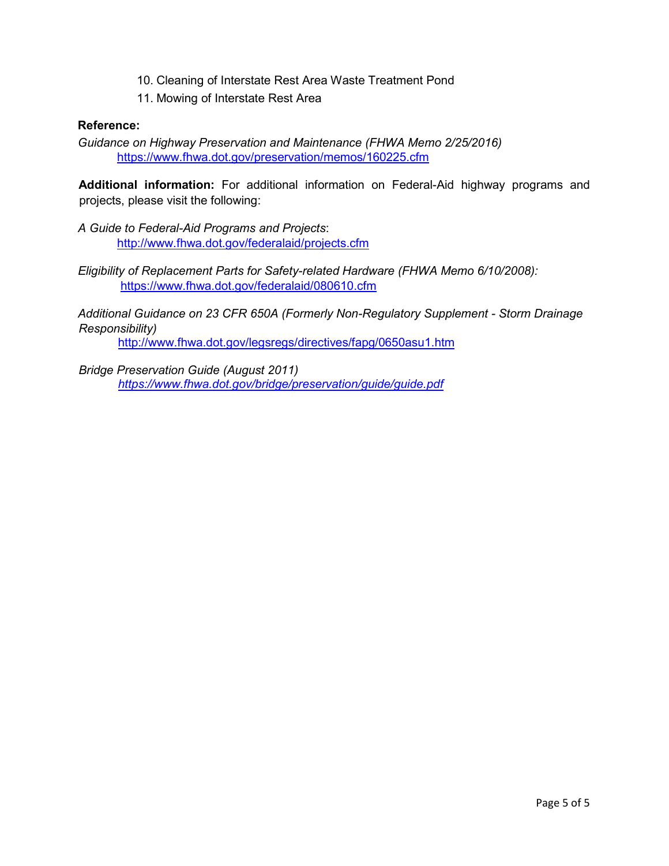- 10. Cleaning of Interstate Rest Area Waste Treatment Pond
- 11. Mowing of Interstate Rest Area

### **Reference:**

*Guidance on Highway Preservation and Maintenance (FHWA Memo 2/25/2016)*  <https://www.fhwa.dot.gov/preservation/memos/160225.cfm>

**Additional information:** For additional information on Federal-Aid highway programs and projects, please visit the following:

*A Guide to Federal-Aid Programs and Projects*: <http://www.fhwa.dot.gov/federalaid/projects.cfm>

*Eligibility of Replacement Parts for Safety-related Hardware (FHWA Memo 6/10/2008):* <https://www.fhwa.dot.gov/federalaid/080610.cfm>

*Additional Guidance on 23 CFR 650A (Formerly Non-Regulatory Supplement - Storm Drainage Responsibility)*  <http://www.fhwa.dot.gov/legsregs/directives/fapg/0650asu1.htm>

*Bridge Preservation Guide (August 2011) <https://www.fhwa.dot.gov/bridge/preservation/guide/guide.pdf>*